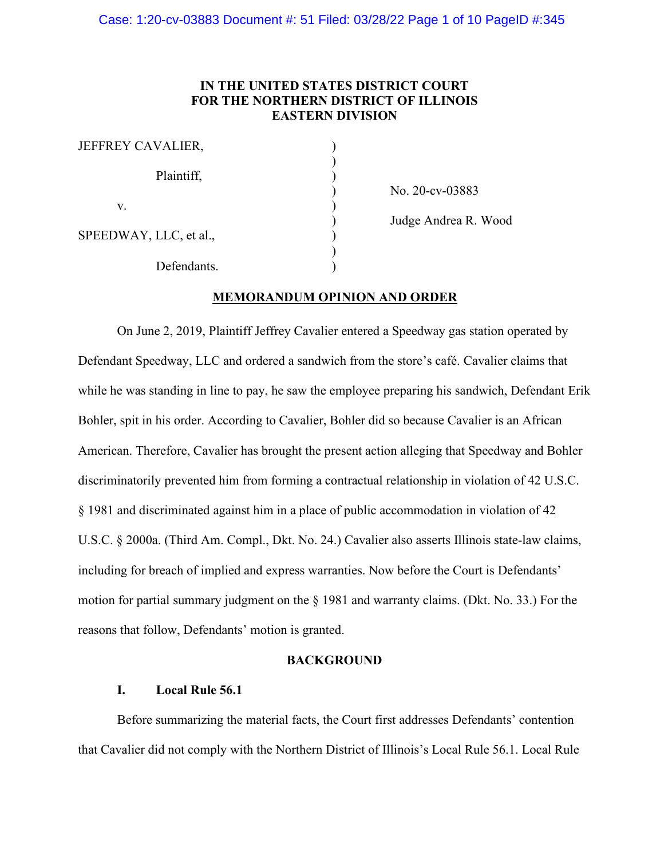# **IN THE UNITED STATES DISTRICT COURT FOR THE NORTHERN DISTRICT OF ILLINOIS EASTERN DIVISION**

| JEFFREY CAVALIER,      |  |
|------------------------|--|
| Plaintiff,             |  |
| V.                     |  |
| SPEEDWAY, LLC, et al., |  |
| Defendants.            |  |

) No. 20-cv-03883

) Judge Andrea R. Wood

# **MEMORANDUM OPINION AND ORDER**

On June 2, 2019, Plaintiff Jeffrey Cavalier entered a Speedway gas station operated by Defendant Speedway, LLC and ordered a sandwich from the store's café. Cavalier claims that while he was standing in line to pay, he saw the employee preparing his sandwich, Defendant Erik Bohler, spit in his order. According to Cavalier, Bohler did so because Cavalier is an African American. Therefore, Cavalier has brought the present action alleging that Speedway and Bohler discriminatorily prevented him from forming a contractual relationship in violation of 42 U.S.C. § 1981 and discriminated against him in a place of public accommodation in violation of 42 U.S.C. § 2000a. (Third Am. Compl., Dkt. No. 24.) Cavalier also asserts Illinois state-law claims, including for breach of implied and express warranties. Now before the Court is Defendants' motion for partial summary judgment on the § 1981 and warranty claims. (Dkt. No. 33.) For the reasons that follow, Defendants' motion is granted.

## **BACKGROUND**

# **I. Local Rule 56.1**

Before summarizing the material facts, the Court first addresses Defendants' contention that Cavalier did not comply with the Northern District of Illinois's Local Rule 56.1. Local Rule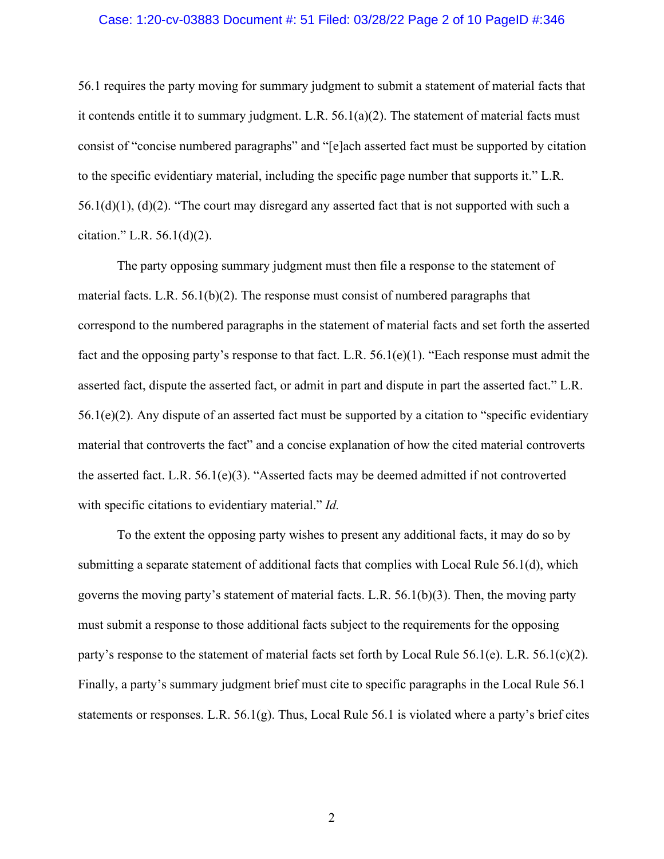#### Case: 1:20-cv-03883 Document #: 51 Filed: 03/28/22 Page 2 of 10 PageID #:346

56.1 requires the party moving for summary judgment to submit a statement of material facts that it contends entitle it to summary judgment. L.R. 56.1(a)(2). The statement of material facts must consist of "concise numbered paragraphs" and "[e]ach asserted fact must be supported by citation to the specific evidentiary material, including the specific page number that supports it." L.R.  $56.1(d)(1)$ ,  $(d)(2)$ . "The court may disregard any asserted fact that is not supported with such a citation." L.R.  $56.1(d)(2)$ .

The party opposing summary judgment must then file a response to the statement of material facts. L.R. 56.1(b)(2). The response must consist of numbered paragraphs that correspond to the numbered paragraphs in the statement of material facts and set forth the asserted fact and the opposing party's response to that fact. L.R.  $56.1(e)(1)$ . "Each response must admit the asserted fact, dispute the asserted fact, or admit in part and dispute in part the asserted fact." L.R.  $56.1(e)(2)$ . Any dispute of an asserted fact must be supported by a citation to "specific evidentiary" material that controverts the fact" and a concise explanation of how the cited material controverts the asserted fact. L.R. 56.1(e)(3). "Asserted facts may be deemed admitted if not controverted with specific citations to evidentiary material." *Id.* 

To the extent the opposing party wishes to present any additional facts, it may do so by submitting a separate statement of additional facts that complies with Local Rule 56.1(d), which governs the moving party's statement of material facts. L.R. 56.1(b)(3). Then, the moving party must submit a response to those additional facts subject to the requirements for the opposing party's response to the statement of material facts set forth by Local Rule 56.1(e). L.R. 56.1(c)(2). Finally, a party's summary judgment brief must cite to specific paragraphs in the Local Rule 56.1 statements or responses. L.R. 56.1(g). Thus, Local Rule 56.1 is violated where a party's brief cites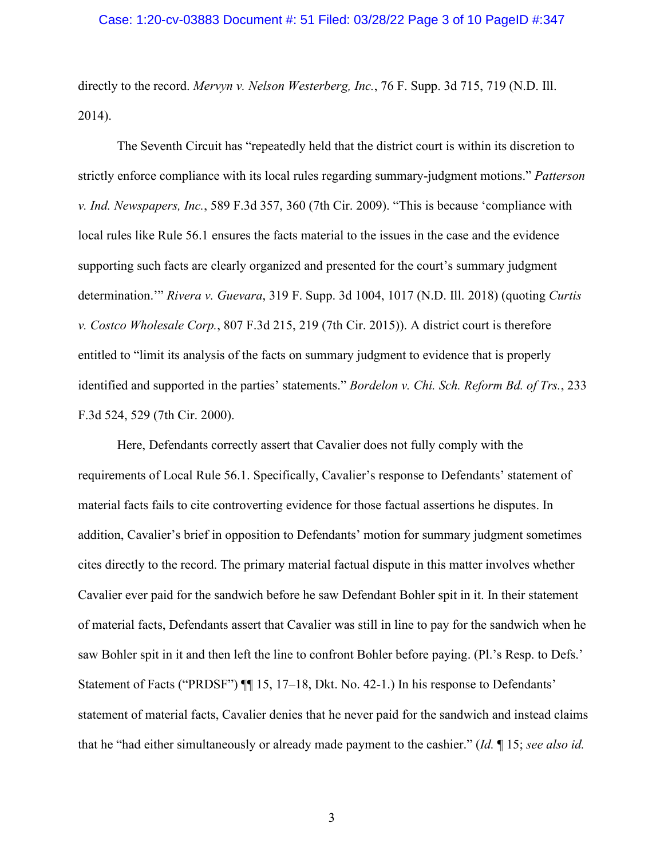### Case: 1:20-cv-03883 Document #: 51 Filed: 03/28/22 Page 3 of 10 PageID #:347

directly to the record. *Mervyn v. Nelson Westerberg, Inc.*, 76 F. Supp. 3d 715, 719 (N.D. Ill. 2014).

The Seventh Circuit has "repeatedly held that the district court is within its discretion to strictly enforce compliance with its local rules regarding summary-judgment motions." *Patterson v. Ind. Newspapers, Inc.*, 589 F.3d 357, 360 (7th Cir. 2009). "This is because 'compliance with local rules like Rule 56.1 ensures the facts material to the issues in the case and the evidence supporting such facts are clearly organized and presented for the court's summary judgment determination.'" *Rivera v. Guevara*, 319 F. Supp. 3d 1004, 1017 (N.D. Ill. 2018) (quoting *Curtis v. Costco Wholesale Corp.*, 807 F.3d 215, 219 (7th Cir. 2015)). A district court is therefore entitled to "limit its analysis of the facts on summary judgment to evidence that is properly identified and supported in the parties' statements." *Bordelon v. Chi. Sch. Reform Bd. of Trs.*, 233 F.3d 524, 529 (7th Cir. 2000).

Here, Defendants correctly assert that Cavalier does not fully comply with the requirements of Local Rule 56.1. Specifically, Cavalier's response to Defendants' statement of material facts fails to cite controverting evidence for those factual assertions he disputes. In addition, Cavalier's brief in opposition to Defendants' motion for summary judgment sometimes cites directly to the record. The primary material factual dispute in this matter involves whether Cavalier ever paid for the sandwich before he saw Defendant Bohler spit in it. In their statement of material facts, Defendants assert that Cavalier was still in line to pay for the sandwich when he saw Bohler spit in it and then left the line to confront Bohler before paying. (Pl.'s Resp. to Defs.' Statement of Facts ("PRDSF") ¶¶ 15, 17–18, Dkt. No. 42-1.) In his response to Defendants' statement of material facts, Cavalier denies that he never paid for the sandwich and instead claims that he "had either simultaneously or already made payment to the cashier." (*Id.* ¶ 15; *see also id.*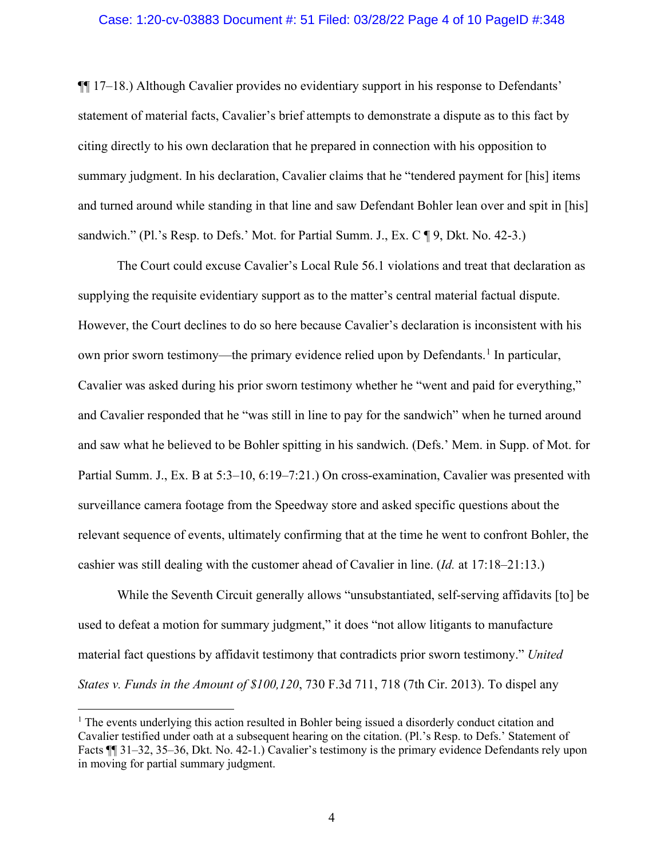### Case: 1:20-cv-03883 Document #: 51 Filed: 03/28/22 Page 4 of 10 PageID #:348

¶¶ 17–18.) Although Cavalier provides no evidentiary support in his response to Defendants' statement of material facts, Cavalier's brief attempts to demonstrate a dispute as to this fact by citing directly to his own declaration that he prepared in connection with his opposition to summary judgment. In his declaration, Cavalier claims that he "tendered payment for [his] items and turned around while standing in that line and saw Defendant Bohler lean over and spit in [his] sandwich." (Pl.'s Resp. to Defs.' Mot. for Partial Summ. J., Ex.  $C \parallel 9$ , Dkt. No. 42-3.)

The Court could excuse Cavalier's Local Rule 56.1 violations and treat that declaration as supplying the requisite evidentiary support as to the matter's central material factual dispute. However, the Court declines to do so here because Cavalier's declaration is inconsistent with his own prior sworn testimony—the primary evidence relied upon by Defendants.<sup>[1](#page-3-0)</sup> In particular, Cavalier was asked during his prior sworn testimony whether he "went and paid for everything," and Cavalier responded that he "was still in line to pay for the sandwich" when he turned around and saw what he believed to be Bohler spitting in his sandwich. (Defs.' Mem. in Supp. of Mot. for Partial Summ. J., Ex. B at 5:3–10, 6:19–7:21.) On cross-examination, Cavalier was presented with surveillance camera footage from the Speedway store and asked specific questions about the relevant sequence of events, ultimately confirming that at the time he went to confront Bohler, the cashier was still dealing with the customer ahead of Cavalier in line. (*Id.* at 17:18–21:13.)

While the Seventh Circuit generally allows "unsubstantiated, self-serving affidavits [to] be used to defeat a motion for summary judgment," it does "not allow litigants to manufacture material fact questions by affidavit testimony that contradicts prior sworn testimony." *United States v. Funds in the Amount of \$100,120*, 730 F.3d 711, 718 (7th Cir. 2013). To dispel any

<span id="page-3-0"></span><sup>&</sup>lt;sup>1</sup> The events underlying this action resulted in Bohler being issued a disorderly conduct citation and Cavalier testified under oath at a subsequent hearing on the citation. (Pl.'s Resp. to Defs.' Statement of Facts ¶¶ 31–32, 35–36, Dkt. No. 42-1.) Cavalier's testimony is the primary evidence Defendants rely upon in moving for partial summary judgment.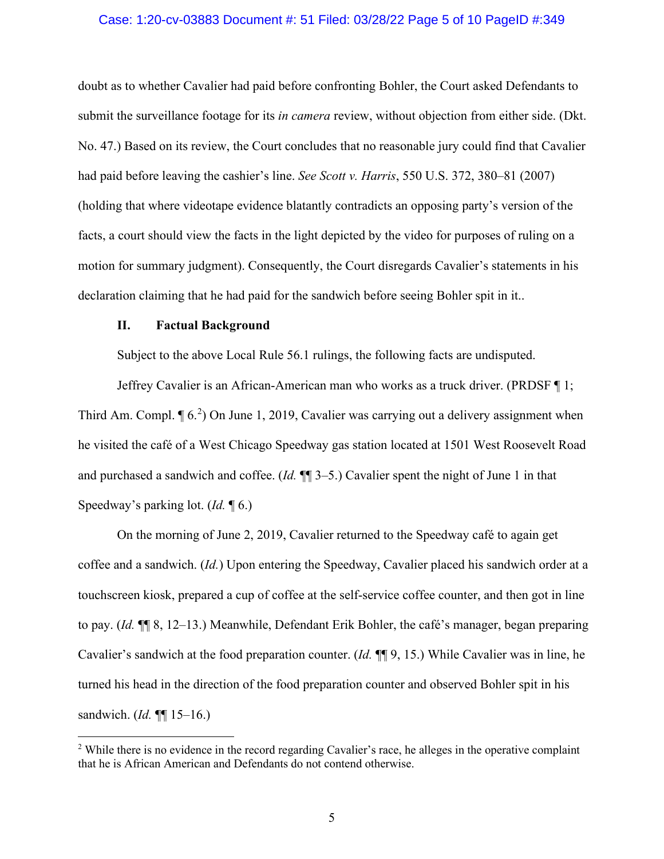### Case: 1:20-cv-03883 Document #: 51 Filed: 03/28/22 Page 5 of 10 PageID #:349

doubt as to whether Cavalier had paid before confronting Bohler, the Court asked Defendants to submit the surveillance footage for its *in camera* review, without objection from either side. (Dkt. No. 47.) Based on its review, the Court concludes that no reasonable jury could find that Cavalier had paid before leaving the cashier's line. *See Scott v. Harris*, 550 U.S. 372, 380–81 (2007) (holding that where videotape evidence blatantly contradicts an opposing party's version of the facts, a court should view the facts in the light depicted by the video for purposes of ruling on a motion for summary judgment). Consequently, the Court disregards Cavalier's statements in his declaration claiming that he had paid for the sandwich before seeing Bohler spit in it..

#### **II. Factual Background**

Subject to the above Local Rule 56.1 rulings, the following facts are undisputed.

Jeffrey Cavalier is an African-American man who works as a truck driver. (PRDSF ¶ 1; Third Am. Compl.  $\P$  6.<sup>[2](#page-4-0)</sup>) On June 1, 2019, Cavalier was carrying out a delivery assignment when he visited the café of a West Chicago Speedway gas station located at 1501 West Roosevelt Road and purchased a sandwich and coffee. (*Id.* ¶¶ 3–5.) Cavalier spent the night of June 1 in that Speedway's parking lot. (*Id.* ¶ 6.)

On the morning of June 2, 2019, Cavalier returned to the Speedway café to again get coffee and a sandwich. (*Id.*) Upon entering the Speedway, Cavalier placed his sandwich order at a touchscreen kiosk, prepared a cup of coffee at the self-service coffee counter, and then got in line to pay. (*Id.* ¶¶ 8, 12–13.) Meanwhile, Defendant Erik Bohler, the café's manager, began preparing Cavalier's sandwich at the food preparation counter. (*Id.* ¶¶ 9, 15.) While Cavalier was in line, he turned his head in the direction of the food preparation counter and observed Bohler spit in his sandwich. (*Id.* ¶¶ 15–16.)

<span id="page-4-0"></span><sup>&</sup>lt;sup>2</sup> While there is no evidence in the record regarding Cavalier's race, he alleges in the operative complaint that he is African American and Defendants do not contend otherwise.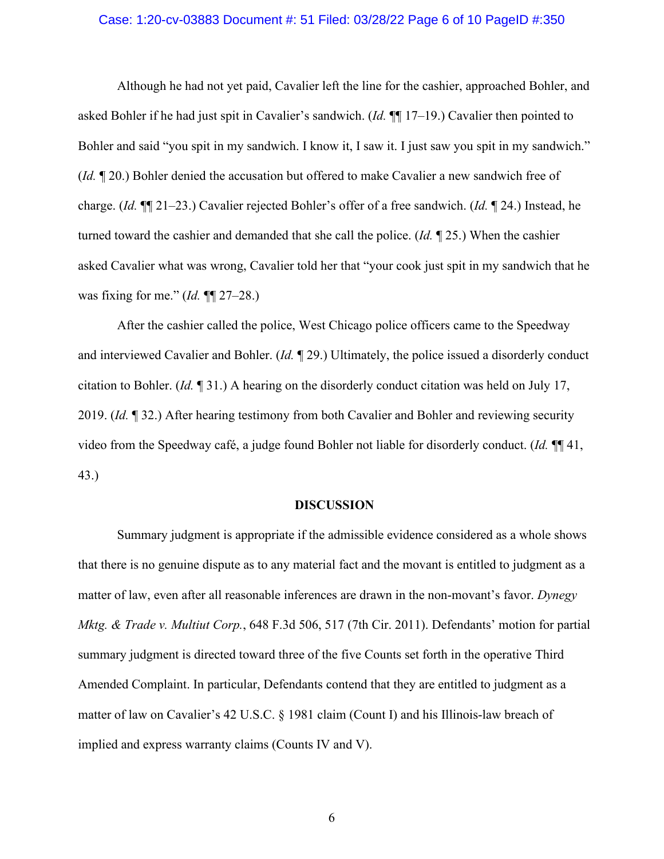### Case: 1:20-cv-03883 Document #: 51 Filed: 03/28/22 Page 6 of 10 PageID #:350

Although he had not yet paid, Cavalier left the line for the cashier, approached Bohler, and asked Bohler if he had just spit in Cavalier's sandwich. (*Id.* ¶¶ 17–19.) Cavalier then pointed to Bohler and said "you spit in my sandwich. I know it, I saw it. I just saw you spit in my sandwich." (*Id.* ¶ 20.) Bohler denied the accusation but offered to make Cavalier a new sandwich free of charge. (*Id.* ¶¶ 21–23.) Cavalier rejected Bohler's offer of a free sandwich. (*Id.* ¶ 24.) Instead, he turned toward the cashier and demanded that she call the police. (*Id.* ¶ 25.) When the cashier asked Cavalier what was wrong, Cavalier told her that "your cook just spit in my sandwich that he was fixing for me." (*Id.* ¶¶ 27–28.)

After the cashier called the police, West Chicago police officers came to the Speedway and interviewed Cavalier and Bohler. (*Id.* ¶ 29.) Ultimately, the police issued a disorderly conduct citation to Bohler. (*Id.* ¶ 31.) A hearing on the disorderly conduct citation was held on July 17, 2019. (*Id.* ¶ 32.) After hearing testimony from both Cavalier and Bohler and reviewing security video from the Speedway café, a judge found Bohler not liable for disorderly conduct. (*Id.* ¶¶ 41, 43.)

#### **DISCUSSION**

Summary judgment is appropriate if the admissible evidence considered as a whole shows that there is no genuine dispute as to any material fact and the movant is entitled to judgment as a matter of law, even after all reasonable inferences are drawn in the non-movant's favor. *Dynegy Mktg. & Trade v. Multiut Corp.*, 648 F.3d 506, 517 (7th Cir. 2011). Defendants' motion for partial summary judgment is directed toward three of the five Counts set forth in the operative Third Amended Complaint. In particular, Defendants contend that they are entitled to judgment as a matter of law on Cavalier's 42 U.S.C. § 1981 claim (Count I) and his Illinois-law breach of implied and express warranty claims (Counts IV and V).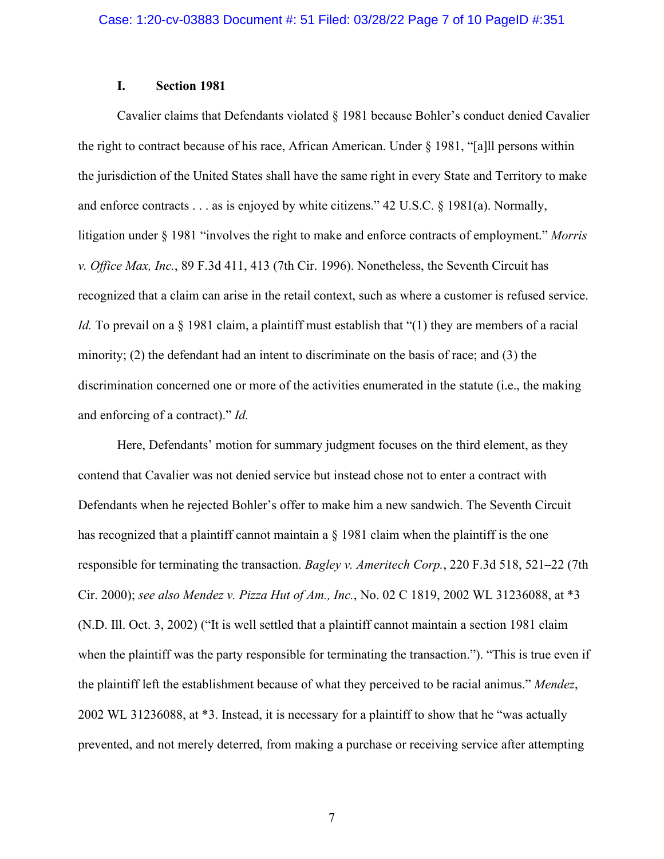# **I. Section 1981**

Cavalier claims that Defendants violated § 1981 because Bohler's conduct denied Cavalier the right to contract because of his race, African American. Under § 1981, "[a]ll persons within the jurisdiction of the United States shall have the same right in every State and Territory to make and enforce contracts . . . as is enjoyed by white citizens." 42 U.S.C. § 1981(a). Normally, litigation under § 1981 "involves the right to make and enforce contracts of employment." *Morris v. Office Max, Inc.*, 89 F.3d 411, 413 (7th Cir. 1996). Nonetheless, the Seventh Circuit has recognized that a claim can arise in the retail context, such as where a customer is refused service. *Id.* To prevail on a § 1981 claim, a plaintiff must establish that "(1) they are members of a racial minority; (2) the defendant had an intent to discriminate on the basis of race; and (3) the discrimination concerned one or more of the activities enumerated in the statute (i.e., the making and enforcing of a contract)." *Id.*

Here, Defendants' motion for summary judgment focuses on the third element, as they contend that Cavalier was not denied service but instead chose not to enter a contract with Defendants when he rejected Bohler's offer to make him a new sandwich. The Seventh Circuit has recognized that a plaintiff cannot maintain a  $\S$  1981 claim when the plaintiff is the one responsible for terminating the transaction. *Bagley v. Ameritech Corp.*, 220 F.3d 518, 521–22 (7th Cir. 2000); *see also Mendez v. Pizza Hut of Am., Inc.*, No. 02 C 1819, 2002 WL 31236088, at \*3 (N.D. Ill. Oct. 3, 2002) ("It is well settled that a plaintiff cannot maintain a section 1981 claim when the plaintiff was the party responsible for terminating the transaction."). "This is true even if the plaintiff left the establishment because of what they perceived to be racial animus." *Mendez*, 2002 WL 31236088, at \*3. Instead, it is necessary for a plaintiff to show that he "was actually prevented, and not merely deterred, from making a purchase or receiving service after attempting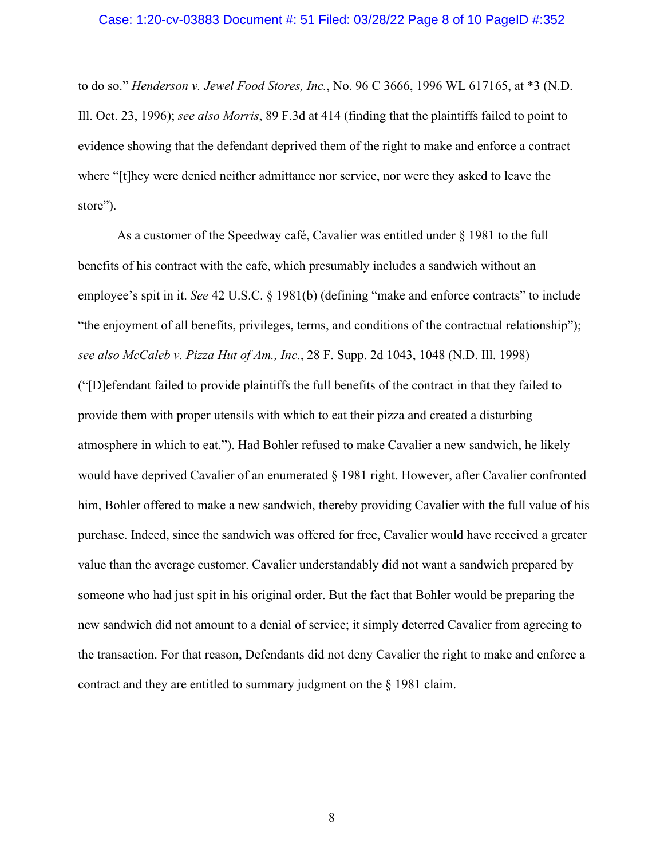#### Case: 1:20-cv-03883 Document #: 51 Filed: 03/28/22 Page 8 of 10 PageID #:352

to do so." *Henderson v. Jewel Food Stores, Inc.*, No. 96 C 3666, 1996 WL 617165, at \*3 (N.D. Ill. Oct. 23, 1996); *see also Morris*, 89 F.3d at 414 (finding that the plaintiffs failed to point to evidence showing that the defendant deprived them of the right to make and enforce a contract where "[t]hey were denied neither admittance nor service, nor were they asked to leave the store").

As a customer of the Speedway café, Cavalier was entitled under § 1981 to the full benefits of his contract with the cafe, which presumably includes a sandwich without an employee's spit in it. *See* 42 U.S.C. § 1981(b) (defining "make and enforce contracts" to include "the enjoyment of all benefits, privileges, terms, and conditions of the contractual relationship"); *see also McCaleb v. Pizza Hut of Am., Inc.*, 28 F. Supp. 2d 1043, 1048 (N.D. Ill. 1998) ("[D]efendant failed to provide plaintiffs the full benefits of the contract in that they failed to provide them with proper utensils with which to eat their pizza and created a disturbing atmosphere in which to eat."). Had Bohler refused to make Cavalier a new sandwich, he likely would have deprived Cavalier of an enumerated § 1981 right. However, after Cavalier confronted him, Bohler offered to make a new sandwich, thereby providing Cavalier with the full value of his purchase. Indeed, since the sandwich was offered for free, Cavalier would have received a greater value than the average customer. Cavalier understandably did not want a sandwich prepared by someone who had just spit in his original order. But the fact that Bohler would be preparing the new sandwich did not amount to a denial of service; it simply deterred Cavalier from agreeing to the transaction. For that reason, Defendants did not deny Cavalier the right to make and enforce a contract and they are entitled to summary judgment on the § 1981 claim.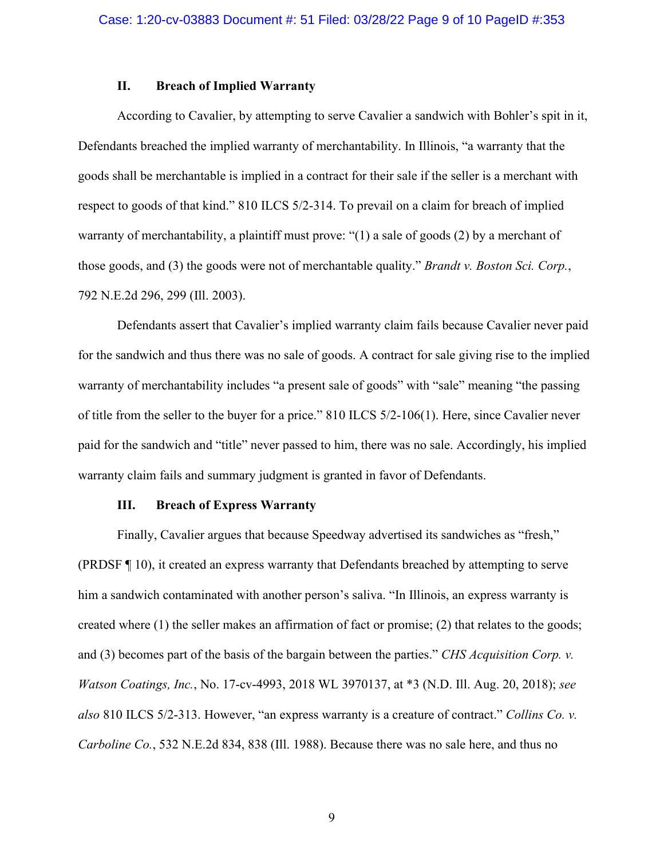### **II. Breach of Implied Warranty**

According to Cavalier, by attempting to serve Cavalier a sandwich with Bohler's spit in it, Defendants breached the implied warranty of merchantability. In Illinois, "a warranty that the goods shall be merchantable is implied in a contract for their sale if the seller is a merchant with respect to goods of that kind." 810 ILCS 5/2-314. To prevail on a claim for breach of implied warranty of merchantability, a plaintiff must prove: "(1) a sale of goods (2) by a merchant of those goods, and (3) the goods were not of merchantable quality." *Brandt v. Boston Sci. Corp.*, 792 N.E.2d 296, 299 (Ill. 2003).

Defendants assert that Cavalier's implied warranty claim fails because Cavalier never paid for the sandwich and thus there was no sale of goods. A contract for sale giving rise to the implied warranty of merchantability includes "a present sale of goods" with "sale" meaning "the passing of title from the seller to the buyer for a price." 810 ILCS 5/2-106(1). Here, since Cavalier never paid for the sandwich and "title" never passed to him, there was no sale. Accordingly, his implied warranty claim fails and summary judgment is granted in favor of Defendants.

### **III. Breach of Express Warranty**

Finally, Cavalier argues that because Speedway advertised its sandwiches as "fresh," (PRDSF ¶ 10), it created an express warranty that Defendants breached by attempting to serve him a sandwich contaminated with another person's saliva. "In Illinois, an express warranty is created where (1) the seller makes an affirmation of fact or promise; (2) that relates to the goods; and (3) becomes part of the basis of the bargain between the parties." *CHS Acquisition Corp. v. Watson Coatings, Inc.*, No. 17-cv-4993, 2018 WL 3970137, at \*3 (N.D. Ill. Aug. 20, 2018); *see also* 810 ILCS 5/2-313. However, "an express warranty is a creature of contract." *Collins Co. v. Carboline Co.*, 532 N.E.2d 834, 838 (Ill. 1988). Because there was no sale here, and thus no